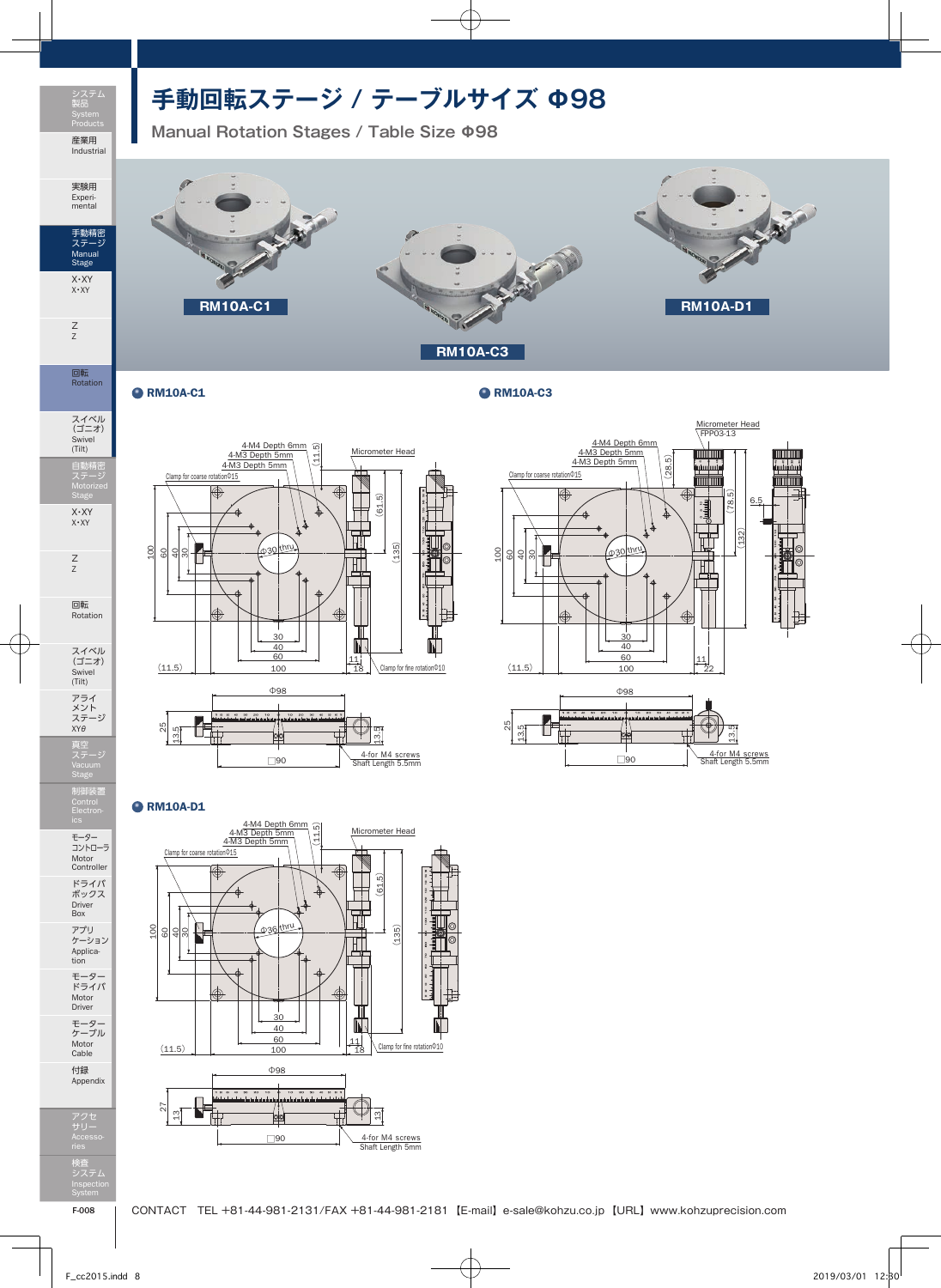

Z Z

回転 Rotation

Swivel (Tilt)

X・XY X・XY

Z Z

回転

アライ

制御装置 Control

モーター コントローラ Motor Controller ドライバ ボックス

## **手動回転ステージ / テーブルサイズ Φ98**

**Manual Rotation Stages / Table Size Φ98**



ORM10A-C1 CRM10A-C3





## **O**RM10A-D1





Motor Driver モーター ケーブル Motor Cable

付録 Appendix

アクセ サリー Accesso-検査 システム Inspection